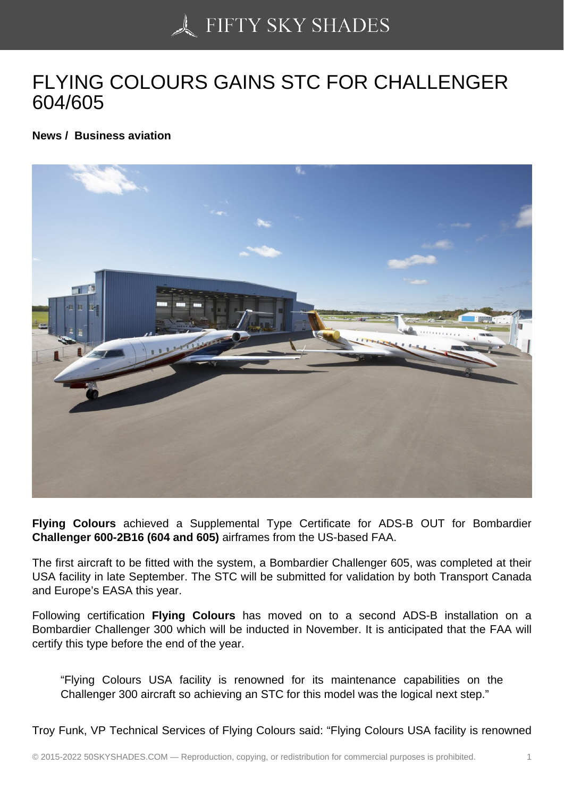## [FLYING COLOURS GA](https://50skyshades.com)INS STC FOR CHALLENGER 604/605

News / Business aviation

Flying Colours achieved a Supplemental Type Certificate for ADS-B OUT for Bombardier Challenger 600-2B16 (604 and 605) airframes from the US-based FAA.

The first aircraft to be fitted with the system, a Bombardier Challenger 605, was completed at their USA facility in late September. The STC will be submitted for validation by both Transport Canada and Europe's EASA this year.

Following certification Flying Colours has moved on to a second ADS-B installation on a Bombardier Challenger 300 which will be inducted in November. It is anticipated that the FAA will certify this type before the end of the year.

"Flying Colours USA facility is renowned for its maintenance capabilities on the Challenger 300 aircraft so achieving an STC for this model was the logical next step."

Troy Funk, VP Technical Services of Flying Colours said: "Flying Colours USA facility is renowned